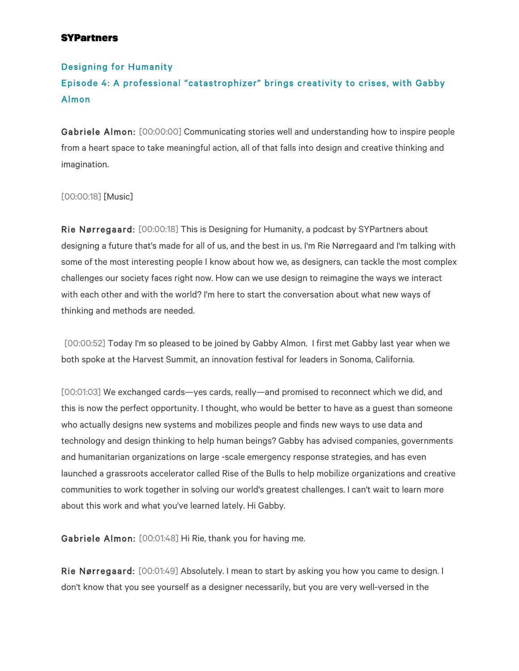# Designing for Humanity Episode 4: A professional "catastrophizer" brings creativity to crises, with Gabby Almon

Gabriele Almon: [00:00:00] Communicating stories well and understanding how to inspire people from a heart space to take meaningful action, all of that falls into design and creative thinking and imagination.

#### [00:00:18] [Music]

Rie Nørregaard: [00:00:18] This is Designing for Humanity, a podcast by SYPartners about designing a future that's made for all of us, and the best in us. I'm Rie Nørregaard and I'm talking with some of the most interesting people I know about how we, as designers, can tackle the most complex challenges our society faces right now. How can we use design to reimagine the ways we interact with each other and with the world? I'm here to start the conversation about what new ways of thinking and methods are needed.

 [00:00:52] Today I'm so pleased to be joined by Gabby Almon. I first met Gabby last year when we both spoke at the Harvest Summit, an innovation festival for leaders in Sonoma, California.

[00:01:03] We exchanged cards—yes cards, really—and promised to reconnect which we did, and this is now the perfect opportunity. I thought, who would be better to have as a guest than someone who actually designs new systems and mobilizes people and finds new ways to use data and technology and design thinking to help human beings? Gabby has advised companies, governments and humanitarian organizations on large -scale emergency response strategies, and has even launched a grassroots accelerator called Rise of the Bulls to help mobilize organizations and creative communities to work together in solving our world's greatest challenges. I can't wait to learn more about this work and what you've learned lately. Hi Gabby.

Gabriele Almon: [00:01:48] Hi Rie, thank you for having me.

Rie Nørregaard: [00:01:49] Absolutely. I mean to start by asking you how you came to design. I don't know that you see yourself as a designer necessarily, but you are very well-versed in the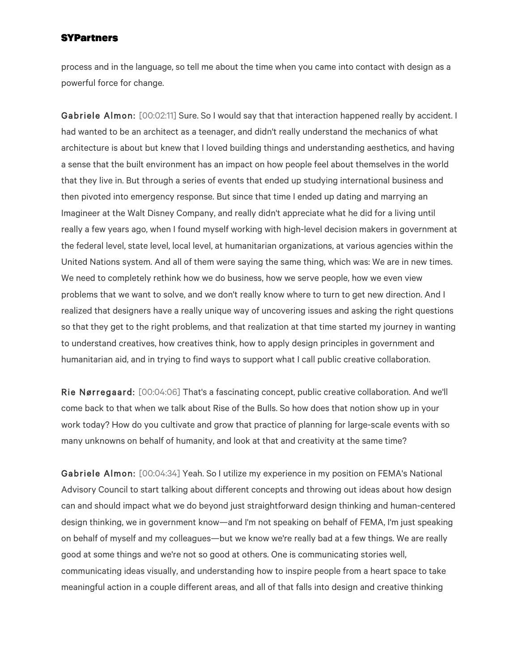process and in the language, so tell me about the time when you came into contact with design as a powerful force for change.

Gabriele Almon: [00:02:11] Sure. So I would say that that interaction happened really by accident. I had wanted to be an architect as a teenager, and didn't really understand the mechanics of what architecture is about but knew that I loved building things and understanding aesthetics, and having a sense that the built environment has an impact on how people feel about themselves in the world that they live in. But through a series of events that ended up studying international business and then pivoted into emergency response. But since that time I ended up dating and marrying an Imagineer at the Walt Disney Company, and really didn't appreciate what he did for a living until really a few years ago, when I found myself working with high-level decision makers in government at the federal level, state level, local level, at humanitarian organizations, at various agencies within the United Nations system. And all of them were saying the same thing, which was: We are in new times. We need to completely rethink how we do business, how we serve people, how we even view problems that we want to solve, and we don't really know where to turn to get new direction. And I realized that designers have a really unique way of uncovering issues and asking the right questions so that they get to the right problems, and that realization at that time started my journey in wanting to understand creatives, how creatives think, how to apply design principles in government and humanitarian aid, and in trying to find ways to support what I call public creative collaboration.

Rie Nørregaard: [00:04:06] That's a fascinating concept, public creative collaboration. And we'll come back to that when we talk about Rise of the Bulls. So how does that notion show up in your work today? How do you cultivate and grow that practice of planning for large-scale events with so many unknowns on behalf of humanity, and look at that and creativity at the same time?

Gabriele Almon: [00:04:34] Yeah. So I utilize my experience in my position on FEMA's National Advisory Council to start talking about different concepts and throwing out ideas about how design can and should impact what we do beyond just straightforward design thinking and human-centered design thinking, we in government know—and I'm not speaking on behalf of FEMA, I'm just speaking on behalf of myself and my colleagues—but we know we're really bad at a few things. We are really good at some things and we're not so good at others. One is communicating stories well, communicating ideas visually, and understanding how to inspire people from a heart space to take meaningful action in a couple different areas, and all of that falls into design and creative thinking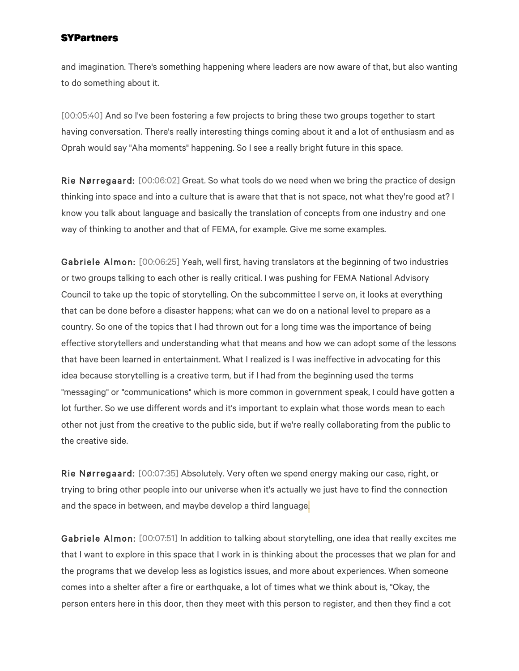and imagination. There's something happening where leaders are now aware of that, but also wanting to do something about it.

[00:05:40] And so I've been fostering a few projects to bring these two groups together to start having conversation. There's really interesting things coming about it and a lot of enthusiasm and as Oprah would say "Aha moments" happening. So I see a really bright future in this space.

Rie Nørregaard: [00:06:02] Great. So what tools do we need when we bring the practice of design thinking into space and into a culture that is aware that that is not space, not what they're good at? I know you talk about language and basically the translation of concepts from one industry and one way of thinking to another and that of FEMA, for example. Give me some examples.

Gabriele Almon: [00:06:25] Yeah, well first, having translators at the beginning of two industries or two groups talking to each other is really critical. I was pushing for FEMA National Advisory Council to take up the topic of storytelling. On the subcommittee I serve on, it looks at everything that can be done before a disaster happens; what can we do on a national level to prepare as a country. So one of the topics that I had thrown out for a long time was the importance of being effective storytellers and understanding what that means and how we can adopt some of the lessons that have been learned in entertainment. What I realized is I was ineffective in advocating for this idea because storytelling is a creative term, but if I had from the beginning used the terms "messaging" or "communications" which is more common in government speak, I could have gotten a lot further. So we use different words and it's important to explain what those words mean to each other not just from the creative to the public side, but if we're really collaborating from the public to the creative side.

Rie Nørregaard: [00:07:35] Absolutely. Very often we spend energy making our case, right, or trying to bring other people into our universe when it's actually we just have to find the connection and the space in between, and maybe develop a third language.

Gabriele Almon: [00:07:51] In addition to talking about storytelling, one idea that really excites me that I want to explore in this space that I work in is thinking about the processes that we plan for and the programs that we develop less as logistics issues, and more about experiences. When someone comes into a shelter after a fire or earthquake, a lot of times what we think about is, "Okay, the person enters here in this door, then they meet with this person to register, and then they find a cot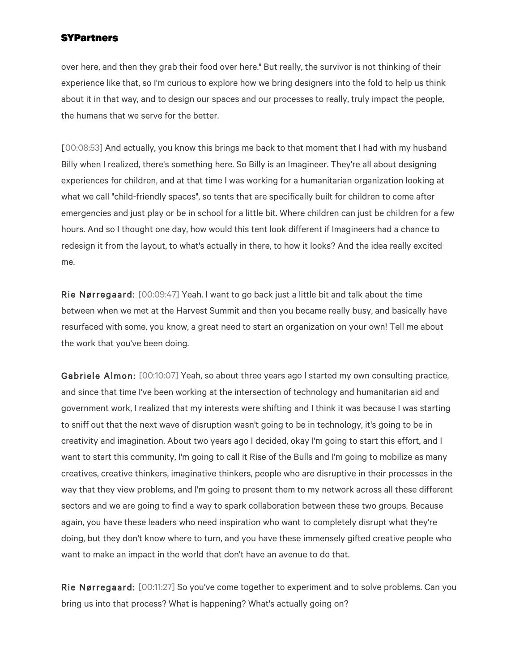over here, and then they grab their food over here." But really, the survivor is not thinking of their experience like that, so I'm curious to explore how we bring designers into the fold to help us think about it in that way, and to design our spaces and our processes to really, truly impact the people, the humans that we serve for the better.

[00:08:53] And actually, you know this brings me back to that moment that I had with my husband Billy when I realized, there's something here. So Billy is an Imagineer. They're all about designing experiences for children, and at that time I was working for a humanitarian organization looking at what we call "child-friendly spaces", so tents that are specifically built for children to come after emergencies and just play or be in school for a little bit. Where children can just be children for a few hours. And so I thought one day, how would this tent look different if Imagineers had a chance to redesign it from the layout, to what's actually in there, to how it looks? And the idea really excited me.

Rie Nørregaard: [00:09:47] Yeah. I want to go back just a little bit and talk about the time between when we met at the Harvest Summit and then you became really busy, and basically have resurfaced with some, you know, a great need to start an organization on your own! Tell me about the work that you've been doing.

Gabriele Almon: [00:10:07] Yeah, so about three years ago I started my own consulting practice, and since that time I've been working at the intersection of technology and humanitarian aid and government work, I realized that my interests were shifting and I think it was because I was starting to sniff out that the next wave of disruption wasn't going to be in technology, it's going to be in creativity and imagination. About two years ago I decided, okay I'm going to start this effort, and I want to start this community, I'm going to call it Rise of the Bulls and I'm going to mobilize as many creatives, creative thinkers, imaginative thinkers, people who are disruptive in their processes in the way that they view problems, and I'm going to present them to my network across all these different sectors and we are going to find a way to spark collaboration between these two groups. Because again, you have these leaders who need inspiration who want to completely disrupt what they're doing, but they don't know where to turn, and you have these immensely gifted creative people who want to make an impact in the world that don't have an avenue to do that.

Rie Nørregaard: [00:11:27] So you've come together to experiment and to solve problems. Can you bring us into that process? What is happening? What's actually going on?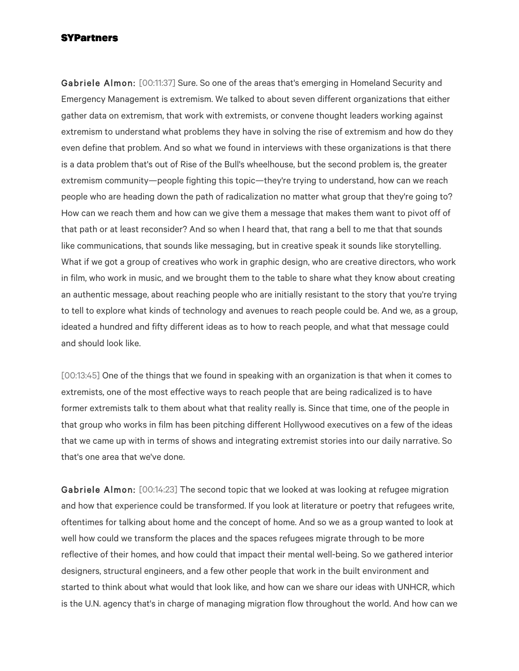Gabriele Almon: [00:11:37] Sure. So one of the areas that's emerging in Homeland Security and Emergency Management is extremism. We talked to about seven different organizations that either gather data on extremism, that work with extremists, or convene thought leaders working against extremism to understand what problems they have in solving the rise of extremism and how do they even define that problem. And so what we found in interviews with these organizations is that there is a data problem that's out of Rise of the Bull's wheelhouse, but the second problem is, the greater extremism community—people fighting this topic—they're trying to understand, how can we reach people who are heading down the path of radicalization no matter what group that they're going to? How can we reach them and how can we give them a message that makes them want to pivot off of that path or at least reconsider? And so when I heard that, that rang a bell to me that that sounds like communications, that sounds like messaging, but in creative speak it sounds like storytelling. What if we got a group of creatives who work in graphic design, who are creative directors, who work in film, who work in music, and we brought them to the table to share what they know about creating an authentic message, about reaching people who are initially resistant to the story that you're trying to tell to explore what kinds of technology and avenues to reach people could be. And we, as a group, ideated a hundred and fifty different ideas as to how to reach people, and what that message could and should look like.

[00:13:45] One of the things that we found in speaking with an organization is that when it comes to extremists, one of the most effective ways to reach people that are being radicalized is to have former extremists talk to them about what that reality really is. Since that time, one of the people in that group who works in film has been pitching different Hollywood executives on a few of the ideas that we came up with in terms of shows and integrating extremist stories into our daily narrative. So that's one area that we've done.

Gabriele Almon: [00:14:23] The second topic that we looked at was looking at refugee migration and how that experience could be transformed. If you look at literature or poetry that refugees write, oftentimes for talking about home and the concept of home. And so we as a group wanted to look at well how could we transform the places and the spaces refugees migrate through to be more reflective of their homes, and how could that impact their mental well-being. So we gathered interior designers, structural engineers, and a few other people that work in the built environment and started to think about what would that look like, and how can we share our ideas with UNHCR, which is the U.N. agency that's in charge of managing migration flow throughout the world. And how can we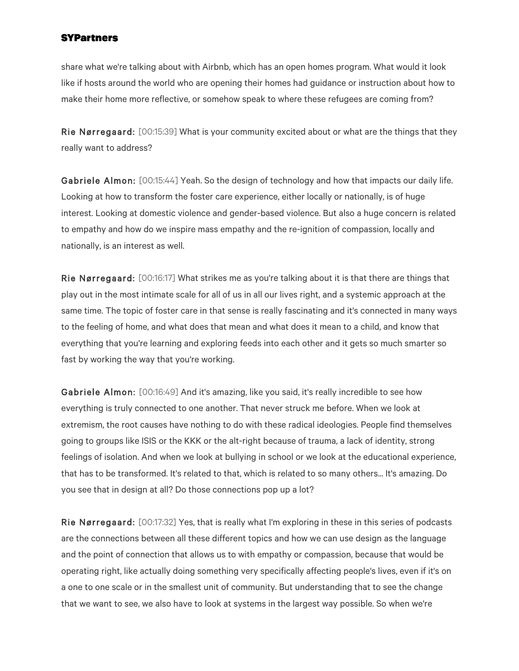share what we're talking about with Airbnb, which has an open homes program. What would it look like if hosts around the world who are opening their homes had guidance or instruction about how to make their home more reflective, or somehow speak to where these refugees are coming from?

Rie Nørregaard: [00:15:39] What is your community excited about or what are the things that they really want to address?

Gabriele Almon: [00:15:44] Yeah. So the design of technology and how that impacts our daily life. Looking at how to transform the foster care experience, either locally or nationally, is of huge interest. Looking at domestic violence and gender-based violence. But also a huge concern is related to empathy and how do we inspire mass empathy and the re-ignition of compassion, locally and nationally, is an interest as well.

Rie Nørregaard: [00:16:17] What strikes me as you're talking about it is that there are things that play out in the most intimate scale for all of us in all our lives right, and a systemic approach at the same time. The topic of foster care in that sense is really fascinating and it's connected in many ways to the feeling of home, and what does that mean and what does it mean to a child, and know that everything that you're learning and exploring feeds into each other and it gets so much smarter so fast by working the way that you're working.

Gabriele Almon: [00:16:49] And it's amazing, like you said, it's really incredible to see how everything is truly connected to one another. That never struck me before. When we look at extremism, the root causes have nothing to do with these radical ideologies. People find themselves going to groups like ISIS or the KKK or the alt-right because of trauma, a lack of identity, strong feelings of isolation. And when we look at bullying in school or we look at the educational experience, that has to be transformed. It's related to that, which is related to so many others... It's amazing. Do you see that in design at all? Do those connections pop up a lot?

Rie Nørregaard: [00:17:32] Yes, that is really what I'm exploring in these in this series of podcasts are the connections between all these different topics and how we can use design as the language and the point of connection that allows us to with empathy or compassion, because that would be operating right, like actually doing something very specifically affecting people's lives, even if it's on a one to one scale or in the smallest unit of community. But understanding that to see the change that we want to see, we also have to look at systems in the largest way possible. So when we're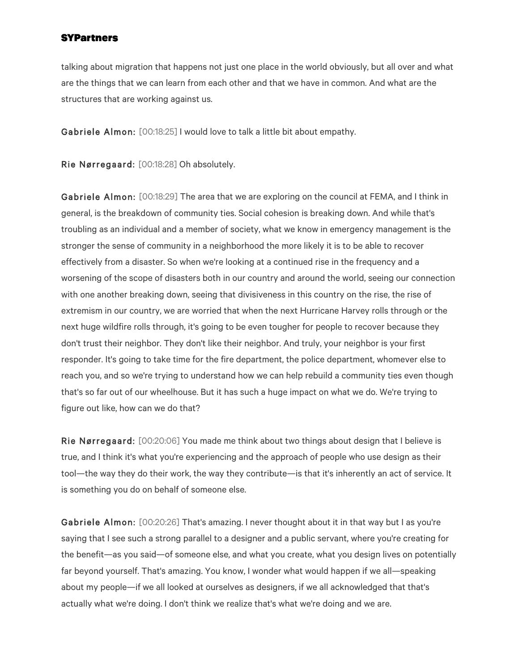talking about migration that happens not just one place in the world obviously, but all over and what are the things that we can learn from each other and that we have in common. And what are the structures that are working against us.

Gabriele Almon: [00:18:25] I would love to talk a little bit about empathy.

Rie Nørregaard: [00:18:28] Oh absolutely.

Gabriele Almon: [00:18:29] The area that we are exploring on the council at FEMA, and I think in general, is the breakdown of community ties. Social cohesion is breaking down. And while that's troubling as an individual and a member of society, what we know in emergency management is the stronger the sense of community in a neighborhood the more likely it is to be able to recover effectively from a disaster. So when we're looking at a continued rise in the frequency and a worsening of the scope of disasters both in our country and around the world, seeing our connection with one another breaking down, seeing that divisiveness in this country on the rise, the rise of extremism in our country, we are worried that when the next Hurricane Harvey rolls through or the next huge wildfire rolls through, it's going to be even tougher for people to recover because they don't trust their neighbor. They don't like their neighbor. And truly, your neighbor is your first responder. It's going to take time for the fire department, the police department, whomever else to reach you, and so we're trying to understand how we can help rebuild a community ties even though that's so far out of our wheelhouse. But it has such a huge impact on what we do. We're trying to figure out like, how can we do that?

Rie Nørregaard: [00:20:06] You made me think about two things about design that I believe is true, and I think it's what you're experiencing and the approach of people who use design as their tool—the way they do their work, the way they contribute—is that it's inherently an act of service. It is something you do on behalf of someone else.

Gabriele Almon: [00:20:26] That's amazing. I never thought about it in that way but I as you're saying that I see such a strong parallel to a designer and a public servant, where you're creating for the benefit—as you said—of someone else, and what you create, what you design lives on potentially far beyond yourself. That's amazing. You know, I wonder what would happen if we all—speaking about my people—if we all looked at ourselves as designers, if we all acknowledged that that's actually what we're doing. I don't think we realize that's what we're doing and we are.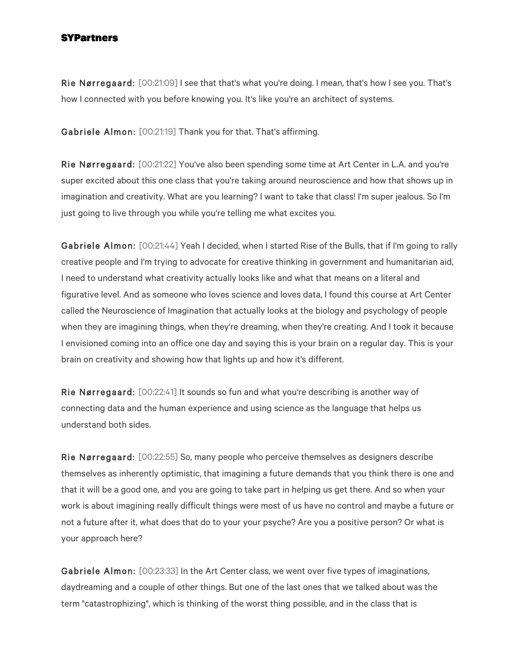Rie Nørregaard: [00:21:09] I see that that's what you're doing. I mean, that's how I see you. That's how I connected with you before knowing you. It's like you're an architect of systems.

Gabriele Almon: [00:21:19] Thank you for that. That's affirming.

Rie Nørregaard: [00:21:22] You've also been spending some time at Art Center in L.A. and you're super excited about this one class that you're taking around neuroscience and how that shows up in imagination and creativity. What are you learning? I want to take that class! I'm super jealous. So I'm just going to live through you while you're telling me what excites you.

Gabriele Almon: [00:21:44] Yeah I decided, when I started Rise of the Bulls, that if I'm going to rally creative people and I'm trying to advocate for creative thinking in government and humanitarian aid, I need to understand what creativity actually looks like and what that means on a literal and figurative level. And as someone who loves science and loves data, I found this course at Art Center called the Neuroscience of Imagination that actually looks at the biology and psychology of people when they are imagining things, when they're dreaming, when they're creating. And I took it because I envisioned coming into an office one day and saying this is your brain on a regular day. This is your brain on creativity and showing how that lights up and how it's different.

Rie Nørregaard: [00:22:41] It sounds so fun and what you're describing is another way of connecting data and the human experience and using science as the language that helps us understand both sides.

Rie Nørregaard: [00:22:55] So, many people who perceive themselves as designers describe themselves as inherently optimistic, that imagining a future demands that you think there is one and that it will be a good one, and you are going to take part in helping us get there. And so when your work is about imagining really difficult things were most of us have no control and maybe a future or not a future after it, what does that do to your your psyche? Are you a positive person? Or what is your approach here?

Gabriele Almon: [00:23:33] In the Art Center class, we went over five types of imaginations, daydreaming and a couple of other things. But one of the last ones that we talked about was the term "catastrophizing", which is thinking of the worst thing possible, and in the class that is